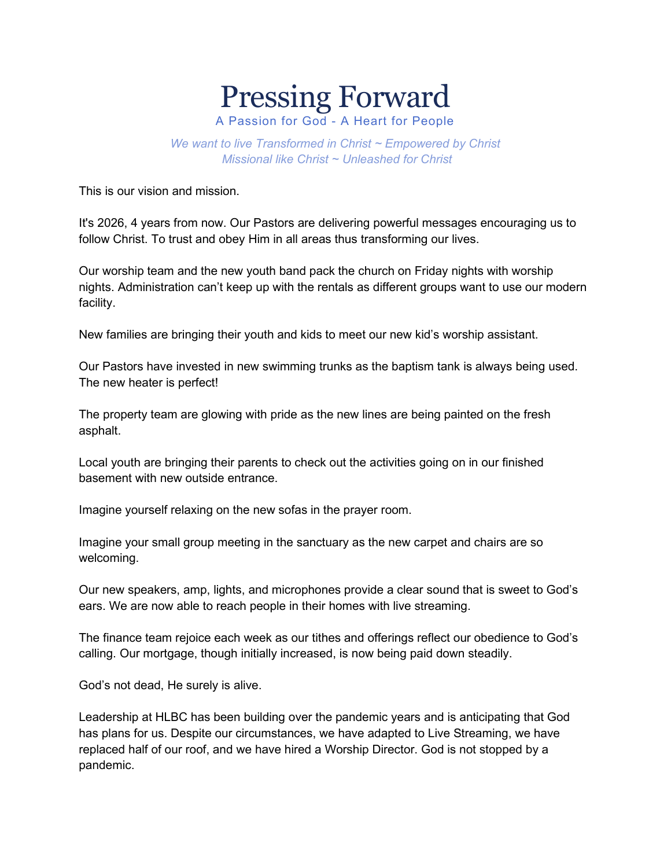## Pressing Forward A Passion for God - A Heart for People

*We want to live Transformed in Christ ~ Empowered by Christ*

*Missional like Christ ~ Unleashed for Christ*

This is our vision and mission.

It's 2026, 4 years from now. Our Pastors are delivering powerful messages encouraging us to follow Christ. To trust and obey Him in all areas thus transforming our lives.

Our worship team and the new youth band pack the church on Friday nights with worship nights. Administration can't keep up with the rentals as different groups want to use our modern facility.

New families are bringing their youth and kids to meet our new kid's worship assistant.

Our Pastors have invested in new swimming trunks as the baptism tank is always being used. The new heater is perfect!

The property team are glowing with pride as the new lines are being painted on the fresh asphalt.

Local youth are bringing their parents to check out the activities going on in our finished basement with new outside entrance.

Imagine yourself relaxing on the new sofas in the prayer room.

Imagine your small group meeting in the sanctuary as the new carpet and chairs are so welcoming.

Our new speakers, amp, lights, and microphones provide a clear sound that is sweet to God's ears. We are now able to reach people in their homes with live streaming.

The finance team rejoice each week as our tithes and offerings reflect our obedience to God's calling. Our mortgage, though initially increased, is now being paid down steadily.

God's not dead, He surely is alive.

Leadership at HLBC has been building over the pandemic years and is anticipating that God has plans for us. Despite our circumstances, we have adapted to Live Streaming, we have replaced half of our roof, and we have hired a Worship Director. God is not stopped by a pandemic.